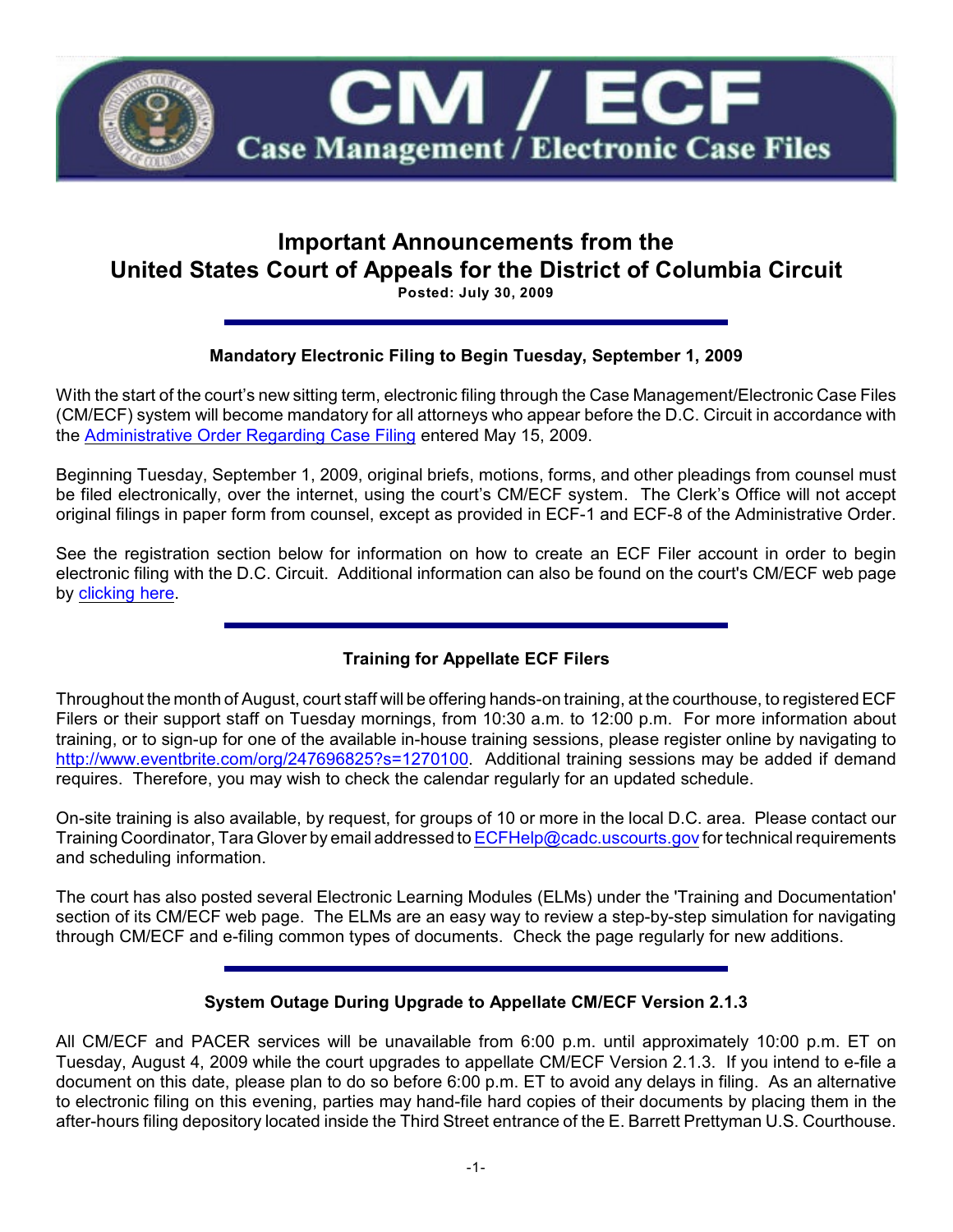

# **Important Announcements from the United States Court of Appeals for the District of Columbia Circuit**

**Posted: July 30, 2009**

## **Mandatory Electronic Filing to Begin Tuesday, September 1, 2009**

With the start of the court's new sitting term, electronic filing through the Case Management/Electronic Case Files (CM/ECF) system will become mandatory for all attorneys who appear before the D.C. Circuit in accordance with the [Administrative Order Regarding Case Filing](http://www.cadc.uscourts.gov/internet/home.nsf/Content/Administrative%20Order%20Regarding%20Electronic%20Case%20FilingEffective%20June%208%202009/$FILE/Admin%20Order%20ECF%20May%202009.pdf) entered May 15, 2009.

Beginning Tuesday, September 1, 2009, original briefs, motions, forms, and other pleadings from counsel must be filed electronically, over the internet, using the court's CM/ECF system. The Clerk's Office will not accept original filings in paper form from counsel, except as provided in ECF-1 and ECF-8 of the Administrative Order.

See the registration section below for information on how to create an ECF Filer account in order to begin electronic filing with the D.C. Circuit. Additional information can also be found on the court's CM/ECF web page by [clicking here](http://www.cadc.uscourts.gov/internet/home.nsf/content/CMECF+Launch+Page).

## **Training for Appellate ECF Filers**

Throughout the month of August, court staff will be offering hands-on training, at the courthouse, to registered ECF Filers or their support staff on Tuesday mornings, from 10:30 a.m. to 12:00 p.m. For more information about training, or to sign-up for one of the available in-house training sessions, please register online by navigating to <http://www.eventbrite.com/org/247696825?s=1270100>. Additional training sessions may be added if demand requires. Therefore, you may wish to check the calendar regularly for an updated schedule.

On-site training is also available, by request, for groups of 10 or more in the local D.C. area. Please contact our Training Coordinator, Tara Glover by email addressed to [ECFHelp@cadc.uscourts.gov](mailTo:ECFHelp@cadc.uscourts.gov) for technical requirements and scheduling information.

The court has also posted several Electronic Learning Modules (ELMs) under the 'Training and Documentation' section of its CM/ECF web page. The ELMs are an easy way to review a step-by-step simulation for navigating through CM/ECF and e-filing common types of documents. Check the page regularly for new additions.

#### **System Outage During Upgrade to Appellate CM/ECF Version 2.1.3**

All CM/ECF and PACER services will be unavailable from 6:00 p.m. until approximately 10:00 p.m. ET on Tuesday, August 4, 2009 while the court upgrades to appellate CM/ECF Version 2.1.3. If you intend to e-file a document on this date, please plan to do so before 6:00 p.m. ET to avoid any delays in filing. As an alternative to electronic filing on this evening, parties may hand-file hard copies of their documents by placing them in the after-hours filing depository located inside the Third Street entrance of the E. Barrett Prettyman U.S. Courthouse.